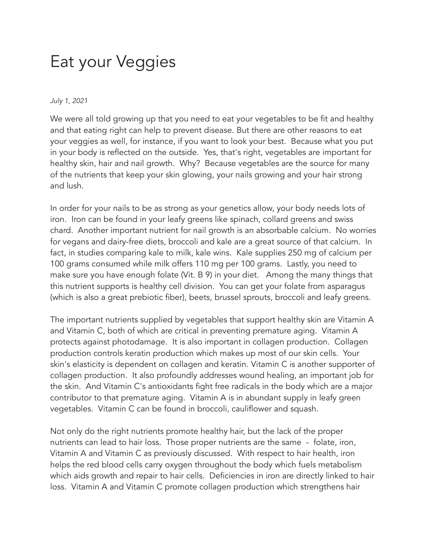## Eat your Veggies

## *July 1, 2021*

We were all told growing up that you need to eat your vegetables to be fit and healthy and that eating right can help to prevent disease. But there are other reasons to eat your veggies as well, for instance, if you want to look your best. Because what you put in your body is reflected on the outside. Yes, that's right, vegetables are important for healthy skin, hair and nail growth. Why? Because vegetables are the source for many of the nutrients that keep your skin glowing, your nails growing and your hair strong and lush.

In order for your nails to be as strong as your genetics allow, your body needs lots of iron. Iron can be found in your leafy greens like spinach, collard greens and swiss chard. Another important nutrient for nail growth is an absorbable calcium. No worries for vegans and dairy-free diets, broccoli and kale are a great source of that calcium. In fact, in studies comparing kale to milk, kale wins. Kale supplies 250 mg of calcium per 100 grams consumed while milk offers 110 mg per 100 grams. Lastly, you need to make sure you have enough folate (Vit. B 9) in your diet. Among the many things that this nutrient supports is healthy cell division. You can get your folate from asparagus (which is also a great prebiotic fiber), beets, brussel sprouts, broccoli and leafy greens.

The important nutrients supplied by vegetables that support healthy skin are Vitamin A and Vitamin C, both of which are critical in preventing premature aging. Vitamin A protects against photodamage. It is also important in collagen production. Collagen production controls keratin production which makes up most of our skin cells. Your skin's elasticity is dependent on collagen and keratin. Vitamin C is another supporter of collagen production. It also profoundly addresses wound healing, an important job for the skin. And Vitamin C's antioxidants fight free radicals in the body which are a major contributor to that premature aging. Vitamin A is in abundant supply in leafy green vegetables. Vitamin C can be found in broccoli, cauliflower and squash.

Not only do the right nutrients promote healthy hair, but the lack of the proper nutrients can lead to hair loss. Those proper nutrients are the same - folate, iron, Vitamin A and Vitamin C as previously discussed. With respect to hair health, iron helps the red blood cells carry oxygen throughout the body which fuels metabolism which aids growth and repair to hair cells. Deficiencies in iron are directly linked to hair loss. Vitamin A and Vitamin C promote collagen production which strengthens hair